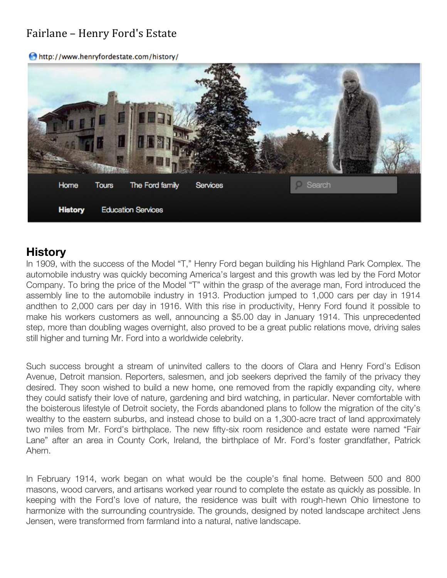## Fairlane - Henry Ford's Estate

http://www.henryfordestate.com/history/



## **History**

In 1909, with the success of the Model "T," Henry Ford began building his Highland Park Complex. The automobile industry was quickly becoming America's largest and this growth was led by the Ford Motor Company. To bring the price of the Model "T" within the grasp of the average man, Ford introduced the assembly line to the automobile industry in 1913. Production jumped to 1,000 cars per day in 1914 andthen to 2,000 cars per day in 1916. With this rise in productivity, Henry Ford found it possible to make his workers customers as well, announcing a \$5.00 day in January 1914. This unprecedented step, more than doubling wages overnight, also proved to be a great public relations move, driving sales still higher and turning Mr. Ford into a worldwide celebrity.

Such success brought a stream of uninvited callers to the doors of Clara and Henry Ford's Edison Avenue, Detroit mansion. Reporters, salesmen, and job seekers deprived the family of the privacy they desired. They soon wished to build a new home, one removed from the rapidly expanding city, where they could satisfy their love of nature, gardening and bird watching, in particular. Never comfortable with the boisterous lifestyle of Detroit society, the Fords abandoned plans to follow the migration of the city's wealthy to the eastern suburbs, and instead chose to build on a 1,300-acre tract of land approximately two miles from Mr. Ford's birthplace. The new fifty-six room residence and estate were named "Fair Lane" after an area in County Cork, Ireland, the birthplace of Mr. Ford's foster grandfather, Patrick Ahern.

In February 1914, work began on what would be the couple's final home. Between 500 and 800 masons, wood carvers, and artisans worked year round to complete the estate as quickly as possible. In keeping with the Ford's love of nature, the residence was built with rough-hewn Ohio limestone to harmonize with the surrounding countryside. The grounds, designed by noted landscape architect Jens Jensen, were transformed from farmland into a natural, native landscape.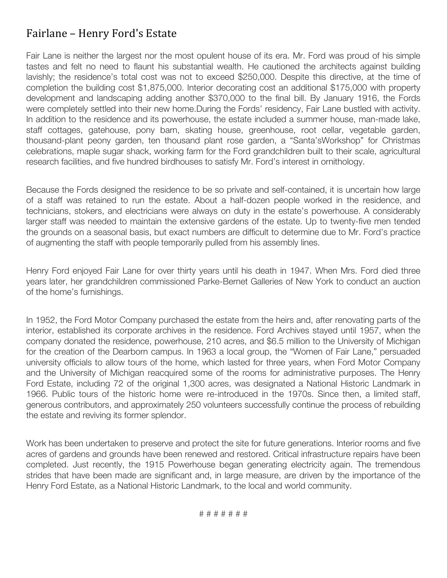## Fairlane - Henry Ford's Estate

Fair Lane is neither the largest nor the most opulent house of its era. Mr. Ford was proud of his simple tastes and felt no need to flaunt his substantial wealth. He cautioned the architects against building lavishly; the residence's total cost was not to exceed \$250,000. Despite this directive, at the time of completion the building cost \$1,875,000. Interior decorating cost an additional \$175,000 with property development and landscaping adding another \$370,000 to the final bill. By January 1916, the Fords were completely settled into their new home.During the Fords' residency, Fair Lane bustled with activity. In addition to the residence and its powerhouse, the estate included a summer house, man-made lake, staff cottages, gatehouse, pony barn, skating house, greenhouse, root cellar, vegetable garden, thousand-plant peony garden, ten thousand plant rose garden, a "Santa'sWorkshop" for Christmas celebrations, maple sugar shack, working farm for the Ford grandchildren built to their scale, agricultural research facilities, and five hundred birdhouses to satisfy Mr. Ford's interest in ornithology.

Because the Fords designed the residence to be so private and self-contained, it is uncertain how large of a staff was retained to run the estate. About a half-dozen people worked in the residence, and technicians, stokers, and electricians were always on duty in the estate's powerhouse. A considerably larger staff was needed to maintain the extensive gardens of the estate. Up to twenty-five men tended the grounds on a seasonal basis, but exact numbers are difficult to determine due to Mr. Ford's practice of augmenting the staff with people temporarily pulled from his assembly lines.

Henry Ford enjoyed Fair Lane for over thirty years until his death in 1947. When Mrs. Ford died three years later, her grandchildren commissioned Parke-Bernet Galleries of New York to conduct an auction of the home's furnishings.

In 1952, the Ford Motor Company purchased the estate from the heirs and, after renovating parts of the interior, established its corporate archives in the residence. Ford Archives stayed until 1957, when the company donated the residence, powerhouse, 210 acres, and \$6.5 million to the University of Michigan for the creation of the Dearborn campus. In 1963 a local group, the "Women of Fair Lane," persuaded university officials to allow tours of the home, which lasted for three years, when Ford Motor Company and the University of Michigan reacquired some of the rooms for administrative purposes. The Henry Ford Estate, including 72 of the original 1,300 acres, was designated a National Historic Landmark in 1966. Public tours of the historic home were re-introduced in the 1970s. Since then, a limited staff, generous contributors, and approximately 250 volunteers successfully continue the process of rebuilding the estate and reviving its former splendor.

Work has been undertaken to preserve and protect the site for future generations. Interior rooms and five acres of gardens and grounds have been renewed and restored. Critical infrastructure repairs have been completed. Just recently, the 1915 Powerhouse began generating electricity again. The tremendous strides that have been made are significant and, in large measure, are driven by the importance of the Henry Ford Estate, as a National Historic Landmark, to the local and world community.